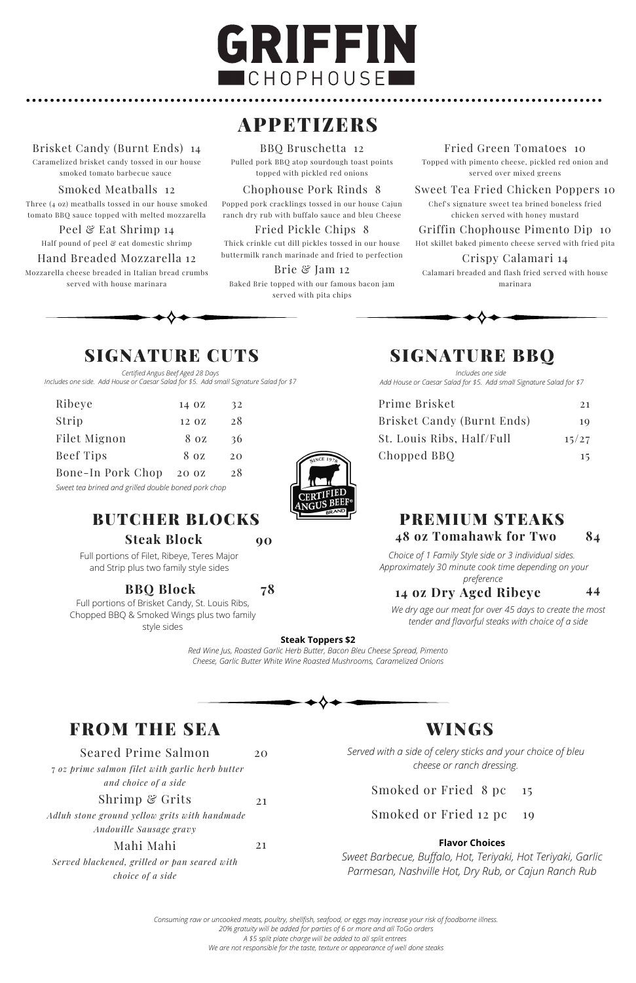# GRIFFIN **CHOPHOUSE**

# **APPETIZERS**

| Prime Brisket              | 2.1   |
|----------------------------|-------|
| Brisket Candy (Burnt Ends) | 10    |
| St. Louis Ribs, Half/Full  | 15/27 |
| Chopped BBQ                | 15    |

## FROM THE SEA WINGS

*Certified Angus Beef Aged 28 Days Includes one side. Add House or Caesar Salad for \$5. Add small Signature Salad for \$7*

*Includes one side Add House or Caesar Salad for \$5. Add small Signature Salad for \$7*

## BUTCHER BLOCKS

Full portions of Filet, Ribeye, Teres Major and Strip plus two family style sides

Full portions of Brisket Candy, St. Louis Ribs, Chopped BBQ & Smoked Wings plus two family style sides

**78**

#### **Steak Toppers \$2**

*Red Wine Jus, Roasted Garlic Herb Butter, Bacon Bleu Cheese Spread, Pimento Cheese, Garlic Butter White Wine Roasted Mushrooms, Caramelized Onions*

#### PREMIUM STEAKS **84 48 oz Tomahawk for Two**

*We dry age our meat for over 45 days to create the most tender and flavorful steaks with choice of a side*

#### **44**

*Choice of 1 Family Style side or 3 individual sides. Approximately 30 minute cook time depending on your*

*Served with a side of celery sticks and your choice of bleu cheese or ranch dressing.*

Smoked or Fried 8 pc 15

Smoked or Fried 12 pc 19

*preference* **14 oz Dry Aged Ribeye**

#### **Flavor Choices**

*Sweet Barbecue, Buffalo, Hot, Teriyaki, Hot Teriyaki, Garlic Parmesan, Nashville Hot, Dry Rub, or Cajun Ranch Rub*

Seared Prime Salmon 7 *oz prime salmon filet with garlic herb butter and choice of a side* Shrimp & Grits *Adluh stone ground yellow grits with handmade Andouille Sausage gravy* Mahi Mahi *Served blackened, grilled or pan seared with choice of a side* 20 21 21

#### Brisket Candy (Burnt Ends) 14

Caramelized brisket candy tossed in our house smoked tomato barbecue sauce

Smoked Meatballs 12

| Ribeye                                              | 14 OZ | 32 |
|-----------------------------------------------------|-------|----|
| Strip                                               | 12 OZ | 28 |
| Filet Mignon                                        | 8 oz  | 36 |
| <b>Beef Tips</b>                                    | 8 oz  | 20 |
| Bone-In Pork Chop                                   | 20 0Z | 28 |
| Sweet tea brined and grilled double boned pork chop |       |    |



Three (4 oz) meatballs tossed in our house smoked tomato BBQ sauce topped with melted mozzarella

Peel & Eat Shrimp 14

Half pound of peel & eat domestic shrimp

#### Hand Breaded Mozzarella 12

Mozzarella cheese breaded in Italian bread crumbs served with house marinara



Pulled pork BBQ atop sourdough toast points topped with pickled red onions

Chophouse Pork Rinds 8

Popped pork cracklings tossed in our house Cajun ranch dry rub with buffalo sauce and bleu Cheese

#### Fried Pickle Chips 8

Thick crinkle cut dill pickles tossed in our house buttermilk ranch marinade and fried to perfection

Brie & Jam 12 Baked Brie topped with our famous bacon jam served with pita chips

#### Fried Green Tomatoes 10

Topped with pimento cheese, pickled red onion and served over mixed greens

#### Sweet Tea Fried Chicken Poppers 10

Chef's signature sweet tea brined boneless fried chicken served with honey mustard

#### Griffin Chophouse Pimento Dip 10

Hot skillet baked pimento cheese served with fried pita

#### Crispy Calamari 14

Calamari breaded and flash fried served with house marinara



## SIGNATURE CUTS SIGNATURE BBQ

*Consuming raw or uncooked meats, poultry, shellfish, seafood, or eggs may increase your risk of foodborne illness. 20% gratuity will be added for parties of 6 or more and all ToGo orders A \$5 split plate charge will be added to all split entrees We are not responsible for the taste, texture or appearance of well done steaks*

**Steak Block 90**

#### **BBQ Block**